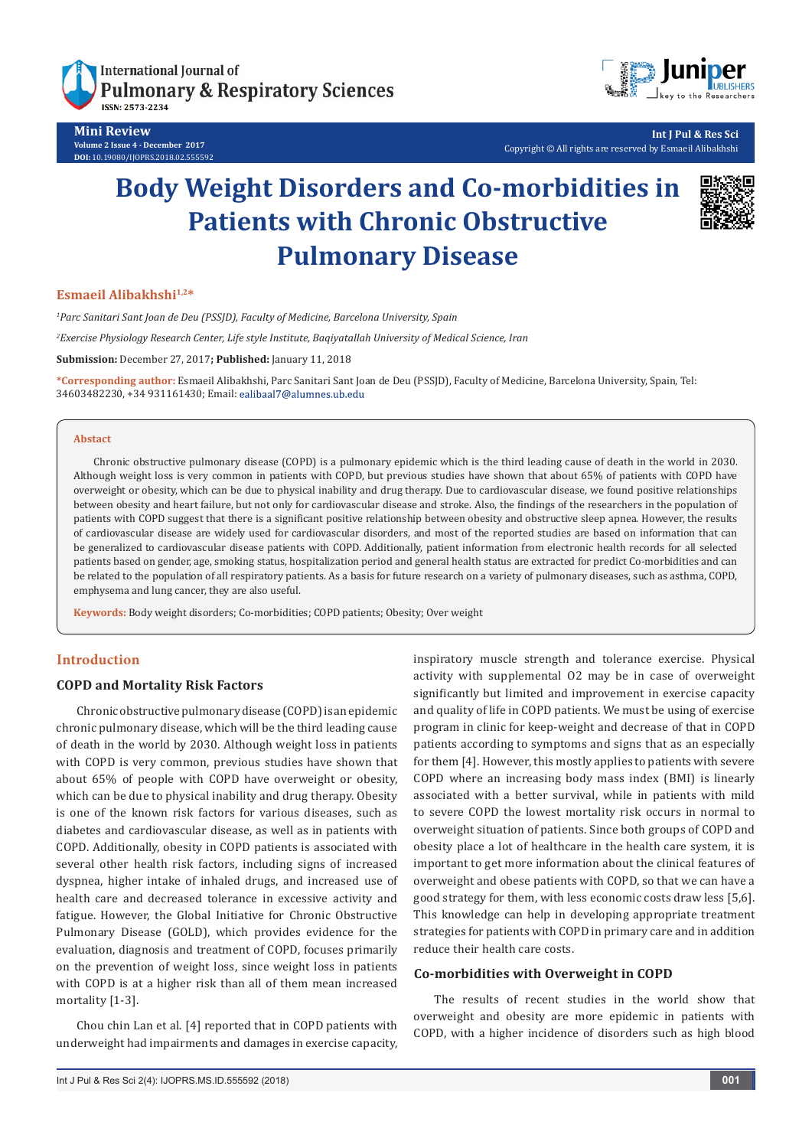

**Mini Review Volume 2 Issue 4 - December 2017 DOI:** [10.19080/IJOPRS.2018.02.555592](http://dx.doi.org/10.19080/IJOPRS.2018.02.555592)



**Int J Pul & Res Sci** Copyright © All rights are reserved by Esmaeil Alibakhshi

# **Body Weight Disorders and Co-morbidities in Patients with Chronic Obstructive Pulmonary Disease**



## **Esmaeil Alibakhshi1,2\***

*1 Parc Sanitari Sant Joan de Deu (PSSJD), Faculty of Medicine, Barcelona University, Spain*

*2 Exercise Physiology Research Center, Life style Institute, Baqiyatallah University of Medical Science, Iran*

**Submission:** December 27, 2017**; Published:** January 11, 2018

**\*Corresponding author:** Esmaeil Alibakhshi, Parc Sanitari Sant Joan de Deu (PSSJD), Faculty of Medicine, Barcelona University, Spain, Tel: 34603482230, +34 931161430; Email:

#### **Abstact**

Chronic obstructive pulmonary disease (COPD) is a pulmonary epidemic which is the third leading cause of death in the world in 2030. Although weight loss is very common in patients with COPD, but previous studies have shown that about 65% of patients with COPD have overweight or obesity, which can be due to physical inability and drug therapy. Due to cardiovascular disease, we found positive relationships between obesity and heart failure, but not only for cardiovascular disease and stroke. Also, the findings of the researchers in the population of patients with COPD suggest that there is a significant positive relationship between obesity and obstructive sleep apnea. However, the results of cardiovascular disease are widely used for cardiovascular disorders, and most of the reported studies are based on information that can be generalized to cardiovascular disease patients with COPD. Additionally, patient information from electronic health records for all selected patients based on gender, age, smoking status, hospitalization period and general health status are extracted for predict Co-morbidities and can be related to the population of all respiratory patients. As a basis for future research on a variety of pulmonary diseases, such as asthma, COPD, emphysema and lung cancer, they are also useful.

**Keywords:** Body weight disorders; Co-morbidities; COPD patients; Obesity; Over weight

# **Introduction**

# **COPD and Mortality Risk Factors**

Chronic obstructive pulmonary disease (COPD) is an epidemic chronic pulmonary disease, which will be the third leading cause of death in the world by 2030. Although weight loss in patients with COPD is very common, previous studies have shown that about 65% of people with COPD have overweight or obesity, which can be due to physical inability and drug therapy. Obesity is one of the known risk factors for various diseases, such as diabetes and cardiovascular disease, as well as in patients with COPD. Additionally, obesity in COPD patients is associated with several other health risk factors, including signs of increased dyspnea, higher intake of inhaled drugs, and increased use of health care and decreased tolerance in excessive activity and fatigue. However, the Global Initiative for Chronic Obstructive Pulmonary Disease (GOLD), which provides evidence for the evaluation, diagnosis and treatment of COPD, focuses primarily on the prevention of weight loss, since weight loss in patients with COPD is at a higher risk than all of them mean increased mortality [1-3].

Chou chin Lan et al. [4] reported that in COPD patients with underweight had impairments and damages in exercise capacity, inspiratory muscle strength and tolerance exercise. Physical activity with supplemental O2 may be in case of overweight significantly but limited and improvement in exercise capacity and quality of life in COPD patients. We must be using of exercise program in clinic for keep-weight and decrease of that in COPD patients according to symptoms and signs that as an especially for them [4]. However, this mostly applies to patients with severe COPD where an increasing body mass index (BMI) is linearly associated with a better survival, while in patients with mild to severe COPD the lowest mortality risk occurs in normal to overweight situation of patients. Since both groups of COPD and obesity place a lot of healthcare in the health care system, it is important to get more information about the clinical features of overweight and obese patients with COPD, so that we can have a good strategy for them, with less economic costs draw less [5,6]. This knowledge can help in developing appropriate treatment strategies for patients with COPD in primary care and in addition reduce their health care costs.

#### **Co-morbidities with Overweight in COPD**

The results of recent studies in the world show that overweight and obesity are more epidemic in patients with COPD, with a higher incidence of disorders such as high blood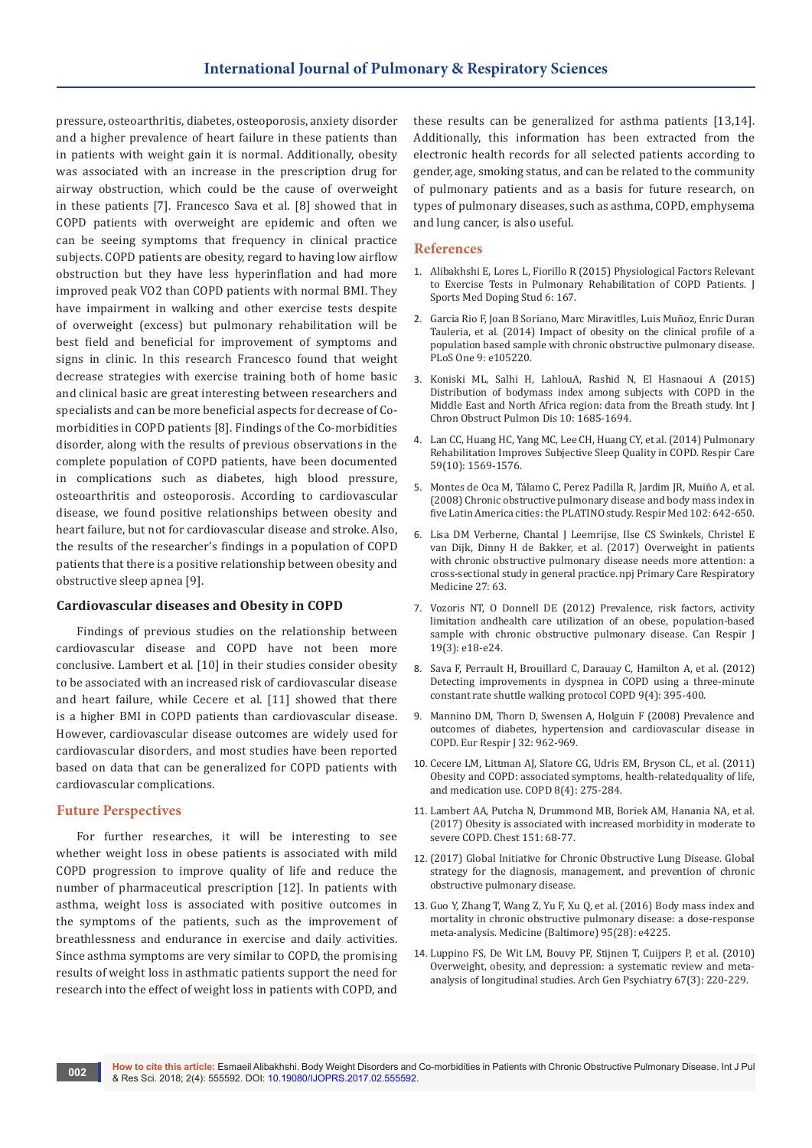pressure, osteoarthritis, diabetes, osteoporosis, anxiety disorder and a higher prevalence of heart failure in these patients than in patients with weight gain it is normal. Additionally, obesity was associated with an increase in the prescription drug for airway obstruction, which could be the cause of overweight in these patients [7]. Francesco Sava et al. [8] showed that in COPD patients with overweight are epidemic and often we can be seeing symptoms that frequency in clinical practice subjects. COPD patients are obesity, regard to having low airflow obstruction but they have less hyperinflation and had more improved peak VO2 than COPD patients with normal BMI. They have impairment in walking and other exercise tests despite of overweight (excess) but pulmonary rehabilitation will be best field and beneficial for improvement of symptoms and signs in clinic. In this research Francesco found that weight decrease strategies with exercise training both of home basic and clinical basic are great interesting between researchers and specialists and can be more beneficial aspects for decrease of Comorbidities in COPD patients [8]. Findings of the Co-morbidities disorder, along with the results of previous observations in the complete population of COPD patients, have been documented in complications such as diabetes, high blood pressure, osteoarthritis and osteoporosis. According to cardiovascular disease, we found positive relationships between obesity and heart failure, but not for cardiovascular disease and stroke. Also, the results of the researcher's findings in a population of COPD patients that there is a positive relationship between obesity and obstructive sleep apnea [9].

### **Cardiovascular diseases and Obesity in COPD**

Findings of previous studies on the relationship between cardiovascular disease and COPD have not been more conclusive. Lambert et al. [10] in their studies consider obesity to be associated with an increased risk of cardiovascular disease and heart failure, while Cecere et al. [11] showed that there is a higher BMI in COPD patients than cardiovascular disease. However, cardiovascular disease outcomes are widely used for cardiovascular disorders, and most studies have been reported based on data that can be generalized for COPD patients with cardiovascular complications.

## **Future Perspectives**

For further researches, it will be interesting to see whether weight loss in obese patients is associated with mild COPD progression to improve quality of life and reduce the number of pharmaceutical prescription [12]. In patients with asthma, weight loss is associated with positive outcomes in the symptoms of the patients, such as the improvement of breathlessness and endurance in exercise and daily activities. Since asthma symptoms are very similar to COPD, the promising results of weight loss in asthmatic patients support the need for research into the effect of weight loss in patients with COPD, and

these results can be generalized for asthma patients [13,14]. Additionally, this information has been extracted from the electronic health records for all selected patients according to gender, age, smoking status, and can be related to the community of pulmonary patients and as a basis for future research, on types of pulmonary diseases, such as asthma, COPD, emphysema and lung cancer, is also useful.

#### **References**

- 1. [Alibakhshi E, Lores L, Fiorillo R \(2015\) Physiological Factors Relevant](https://www.omicsonline.org/open-access/physiological-factors-relevant-to-exercise-tests-in-pulmonary-rehabilitationof-copd-patients-2161-0673-1000167.php?aid=64285)  [to Exercise Tests in Pulmonary Rehabilitation of COPD Patients. J](https://www.omicsonline.org/open-access/physiological-factors-relevant-to-exercise-tests-in-pulmonary-rehabilitationof-copd-patients-2161-0673-1000167.php?aid=64285)  [Sports Med Doping Stud 6: 167.](https://www.omicsonline.org/open-access/physiological-factors-relevant-to-exercise-tests-in-pulmonary-rehabilitationof-copd-patients-2161-0673-1000167.php?aid=64285)
- 2. [Garcia Rio F, Joan B Soriano, Marc Miravitlles, Luis Muñoz, Enric Duran](http://journals.plos.org/plosone/article?id=10.1371/journal.pone.0105220)  [Tauleria, et al. \(2014\) Impact of obesity on the clinical profile of a](http://journals.plos.org/plosone/article?id=10.1371/journal.pone.0105220)  [population based sample with chronic obstructive pulmonary disease.](http://journals.plos.org/plosone/article?id=10.1371/journal.pone.0105220)  [PLoS One 9: e105220.](http://journals.plos.org/plosone/article?id=10.1371/journal.pone.0105220)
- 3. [Koniski ML, Salhi H, LahlouA, Rashid N, El Hasnaoui A \(2015\)](https://www.ncbi.nlm.nih.gov/pubmed/26346564)  [Distribution of bodymass index among subjects with COPD in the](https://www.ncbi.nlm.nih.gov/pubmed/26346564)  [Middle East and North Africa region: data from the Breath study. Int J](https://www.ncbi.nlm.nih.gov/pubmed/26346564)  [Chron Obstruct Pulmon Dis 10: 1685-1694.](https://www.ncbi.nlm.nih.gov/pubmed/26346564)
- 4. [Lan CC, Huang HC, Yang MC, Lee CH, Huang CY, et al. \(2014\) Pulmonary](https://www.ncbi.nlm.nih.gov/pubmed/24917453)  [Rehabilitation Improves Subjective Sleep Quality in COPD. Respir Care](https://www.ncbi.nlm.nih.gov/pubmed/24917453)  [59\(10\): 1569-1576.](https://www.ncbi.nlm.nih.gov/pubmed/24917453)
- 5. [Montes de Oca M, Tálamo C, Perez Padilla R, Jardim JR, Muiño A, et al.](https://www.ncbi.nlm.nih.gov/pubmed/18314321)  [\(2008\) Chronic obstructive pulmonary disease and body mass index in](https://www.ncbi.nlm.nih.gov/pubmed/18314321)  [five Latin America cities: the PLATINO study. Respir Med 102: 642-650.](https://www.ncbi.nlm.nih.gov/pubmed/18314321)
- 6. [Lisa DM Verberne, Chantal J Leemrijse, Ilse CS Swinkels, Christel E](https://www.nature.com/articles/s41533-017-0065-3)  [van Dijk, Dinny H de Bakker, et al. \(2017\) Overweight in patients](https://www.nature.com/articles/s41533-017-0065-3)  [with chronic obstructive pulmonary disease needs more attention: a](https://www.nature.com/articles/s41533-017-0065-3)  [cross-sectional study in general practice. npj Primary Care Respiratory](https://www.nature.com/articles/s41533-017-0065-3)  [Medicine 27: 63.](https://www.nature.com/articles/s41533-017-0065-3)
- 7. [Vozoris NT, O Donnell DE \(2012\) Prevalence, risk factors, activity](https://www.ncbi.nlm.nih.gov/pubmed/22679617)  [limitation andhealth care utilization of an obese, population-based](https://www.ncbi.nlm.nih.gov/pubmed/22679617)  [sample with chronic obstructive pulmonary disease. Can Respir J](https://www.ncbi.nlm.nih.gov/pubmed/22679617)  [19\(3\): e18-e24.](https://www.ncbi.nlm.nih.gov/pubmed/22679617)
- 8. [Sava F, Perrault H, Brouillard C, Darauay C, Hamilton A, et al. \(2012\)](https://www.ncbi.nlm.nih.gov/pubmed/22509905)  [Detecting improvements in dyspnea in COPD using a three-minute](https://www.ncbi.nlm.nih.gov/pubmed/22509905)  [constant rate shuttle walking protocol COPD 9\(4\): 395-400.](https://www.ncbi.nlm.nih.gov/pubmed/22509905)
- 9. [Mannino DM, Thorn D, Swensen A, Holguin F \(2008\) Prevalence and](https://www.ncbi.nlm.nih.gov/pubmed/18579551)  [outcomes of diabetes, hypertension and cardiovascular disease in](https://www.ncbi.nlm.nih.gov/pubmed/18579551)  [COPD. Eur Respir J 32: 962-969.](https://www.ncbi.nlm.nih.gov/pubmed/18579551)
- 10. [Cecere LM, Littman AJ, Slatore CG, Udris EM, Bryson CL, et al. \(2011\)](https://www.ncbi.nlm.nih.gov/pubmed/21809909)  [Obesity and COPD: associated symptoms, health-relatedquality of life,](https://www.ncbi.nlm.nih.gov/pubmed/21809909)  [and medication use. COPD 8\(4\): 275-284.](https://www.ncbi.nlm.nih.gov/pubmed/21809909)
- 11. [Lambert AA, Putcha N, Drummond MB, Boriek AM, Hanania NA, et al.](https://www.ncbi.nlm.nih.gov/pubmed/27568229)  [\(2017\) Obesity is associated with increased morbidity in moderate to](https://www.ncbi.nlm.nih.gov/pubmed/27568229)  [severe COPD. Chest 151: 68-77.](https://www.ncbi.nlm.nih.gov/pubmed/27568229)
- 12. (2017) Global Initiative for Chronic Obstructive Lung Disease. Global strategy for the diagnosis, management, and prevention of chronic obstructive pulmonary disease.
- 13. [Guo Y, Zhang T, Wang Z, Yu F, Xu Q, et al. \(2016\) Body mass index and](https://www.ncbi.nlm.nih.gov/pubmed/27428228)  [mortality in chronic obstructive pulmonary disease: a dose-response](https://www.ncbi.nlm.nih.gov/pubmed/27428228)  [meta-analysis. Medicine \(Baltimore\) 95\(28\): e4225.](https://www.ncbi.nlm.nih.gov/pubmed/27428228)
- 14. [Luppino FS, De Wit LM, Bouvy PF, Stijnen T, Cuijpers P, et al. \(2010\)](https://www.ncbi.nlm.nih.gov/pubmed/20194822)  [Overweight, obesity, and depression: a systematic review and meta](https://www.ncbi.nlm.nih.gov/pubmed/20194822)[analysis of longitudinal studies. Arch Gen Psychiatry 67\(3\): 220-229.](https://www.ncbi.nlm.nih.gov/pubmed/20194822)